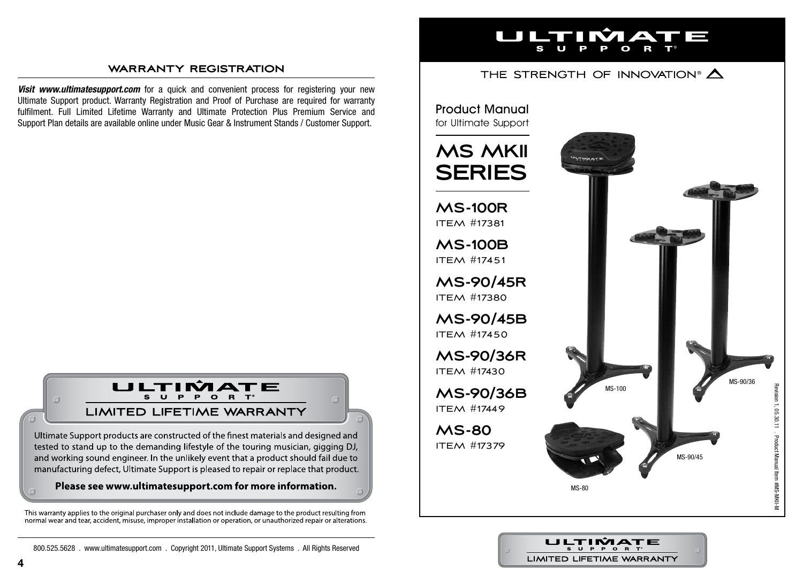### **warranty registration**

**Visit www.ultimatesupport.com** for a quick and convenient process for registering your new Ultimate Support product. Warranty Registration and Proof of Purchase are required for warranty fulfilment. Full Limited Lifetime Warranty and Ultimate Protection Plus Premium Service and Support Plan details are available online under Music Gear & Instrument Stands / Customer Support.



Ultimate Support products are constructed of the finest materials and designed and tested to stand up to the demanding lifestyle of the touring musician, gigging DJ, and working sound engineer. In the unlikely event that a product should fail due to manufacturing defect, Ultimate Support is pleased to repair or replace that product.

#### Please see www.ultimatesupport.com for more information.

This warranty applies to the original purchaser only and does not include damage to the product resulting from normal wear and tear, accident, misuse, improper installation or operation, or unauthorized repair or alterations.

**4**

#### **TELESCOPE** Ì a m TIN Z

## THE STRENGTH OF INNOVATION®  $\Delta$

## Product Manual for Ultimate Support

# **MS MKII SERIES MS-100R** ITEM #17381 **MS-100B** ITEM #17451

**MS-90/45R** ITEM #17380

**MS-90/45B** ITEM #17450

**MS-90/36R** ITEM #17430

**MS-90/36B** ITEM #17449

**MS-80** ITEM #17379